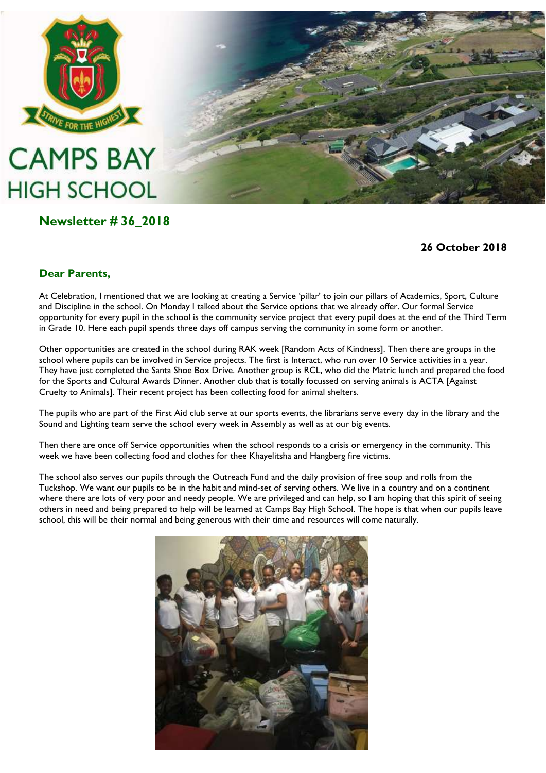

## **CAMPS BAY HIGH SCHOOL**

## **Newsletter # 36\_2018**



**26 October 2018**

#### **Dear Parents,**

At Celebration, I mentioned that we are looking at creating a Service 'pillar' to join our pillars of Academics, Sport, Culture and Discipline in the school. On Monday I talked about the Service options that we already offer. Our formal Service opportunity for every pupil in the school is the community service project that every pupil does at the end of the Third Term in Grade 10. Here each pupil spends three days off campus serving the community in some form or another.

Other opportunities are created in the school during RAK week [Random Acts of Kindness]. Then there are groups in the school where pupils can be involved in Service projects. The first is Interact, who run over 10 Service activities in a year. They have just completed the Santa Shoe Box Drive. Another group is RCL, who did the Matric lunch and prepared the food for the Sports and Cultural Awards Dinner. Another club that is totally focussed on serving animals is ACTA [Against Cruelty to Animals]. Their recent project has been collecting food for animal shelters.

The pupils who are part of the First Aid club serve at our sports events, the librarians serve every day in the library and the Sound and Lighting team serve the school every week in Assembly as well as at our big events.

Then there are once off Service opportunities when the school responds to a crisis or emergency in the community. This week we have been collecting food and clothes for thee Khayelitsha and Hangberg fire victims.

The school also serves our pupils through the Outreach Fund and the daily provision of free soup and rolls from the Tuckshop. We want our pupils to be in the habit and mind-set of serving others. We live in a country and on a continent where there are lots of very poor and needy people. We are privileged and can help, so I am hoping that this spirit of seeing others in need and being prepared to help will be learned at Camps Bay High School. The hope is that when our pupils leave school, this will be their normal and being generous with their time and resources will come naturally.

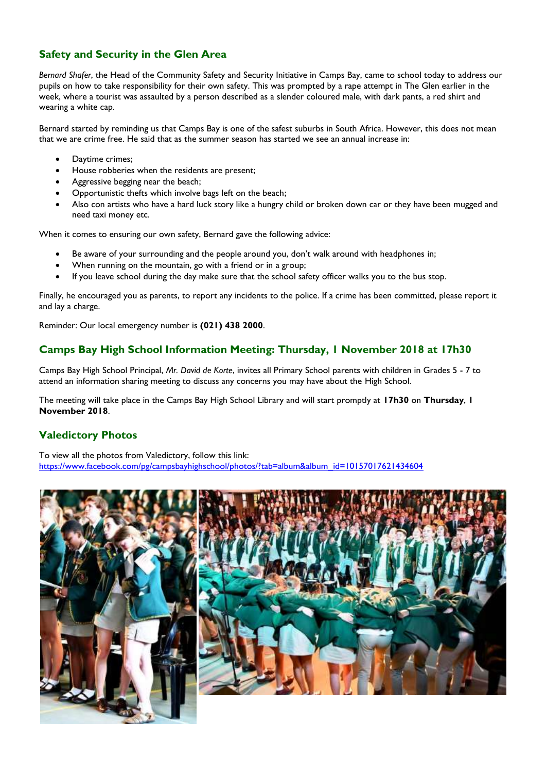#### **Safety and Security in the Glen Area**

*Bernard Shafer*, the Head of the Community Safety and Security Initiative in Camps Bay, came to school today to address our pupils on how to take responsibility for their own safety. This was prompted by a rape attempt in The Glen earlier in the week, where a tourist was assaulted by a person described as a slender coloured male, with dark pants, a red shirt and wearing a white cap.

Bernard started by reminding us that Camps Bay is one of the safest suburbs in South Africa. However, this does not mean that we are crime free. He said that as the summer season has started we see an annual increase in:

- Daytime crimes;
- House robberies when the residents are present;
- Aggressive begging near the beach;
- Opportunistic thefts which involve bags left on the beach;
- Also con artists who have a hard luck story like a hungry child or broken down car or they have been mugged and need taxi money etc.

When it comes to ensuring our own safety, Bernard gave the following advice:

- Be aware of your surrounding and the people around you, don't walk around with headphones in;
- When running on the mountain, go with a friend or in a group;
- If you leave school during the day make sure that the school safety officer walks you to the bus stop.

Finally, he encouraged you as parents, to report any incidents to the police. If a crime has been committed, please report it and lay a charge.

Reminder: Our local emergency number is **(021) 438 2000**.

#### **Camps Bay High School Information Meeting: Thursday, 1 November 2018 at 17h30**

Camps Bay High School Principal, *Mr. David de Korte*, invites all Primary School parents with children in Grades 5 - 7 to attend an information sharing meeting to discuss any concerns you may have about the High School.

The meeting will take place in the Camps Bay High School Library and will start promptly at **17h30** on **Thursday**, **1 November 2018**.

#### **Valedictory Photos**

To view all the photos from Valedictory, follow this link: [https://www.facebook.com/pg/campsbayhighschool/photos/?tab=album&album\\_id=10157017621434604](https://www.facebook.com/pg/campsbayhighschool/photos/?tab=album&album_id=10157017621434604)

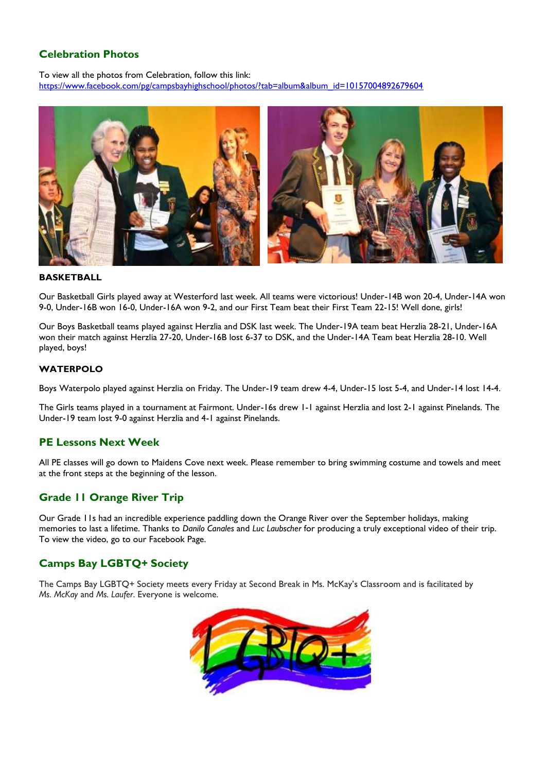#### **Celebration Photos**

To view all the photos from Celebration, follow this link: https://www.facebook.com/pg/campsbayhighschool/photos/?tab=album&album\_id=10157004892679604



#### **BASKETBALL**

Our Basketball Girls played away at Westerford last week. All teams were victorious! Under-14B won 20-4, Under-14A won 9-0, Under-16B won 16-0, Under-16A won 9-2, and our First Team beat their First Team 22-15! Well done, girls!

Our Boys Basketball teams played against Herzlia and DSK last week. The Under-19A team beat Herzlia 28-21, Under-16A won their match against Herzlia 27-20, Under-16B lost 6-37 to DSK, and the Under-14A Team beat Herzlia 28-10. Well played, boys!

#### **WATERPOLO**

Boys Waterpolo played against Herzlia on Friday. The Under-19 team drew 4-4, Under-15 lost 5-4, and Under-14 lost 14-4.

The Girls teams played in a tournament at Fairmont. Under-16s drew 1-1 against Herzlia and lost 2-1 against Pinelands. The Under-19 team lost 9-0 against Herzlia and 4-1 against Pinelands.

#### **PE Lessons Next Week**

All PE classes will go down to Maidens Cove next week. Please remember to bring swimming costume and towels and meet at the front steps at the beginning of the lesson.

#### **Grade 11 Orange River Trip**

Our Grade 11s had an incredible experience paddling down the Orange River over the September holidays, making memories to last a lifetime. Thanks to *Danilo Canales* and *Luc Laubscher* for producing a truly exceptional video of their trip. To view the video, go to our Facebook Page.

#### **Camps Bay LGBTQ+ Society**

The Camps Bay LGBTQ+ Society meets every Friday at Second Break in Ms. McKay's Classroom and is facilitated by *Ms. McKay* and *Ms. Laufer*. Everyone is welcome.

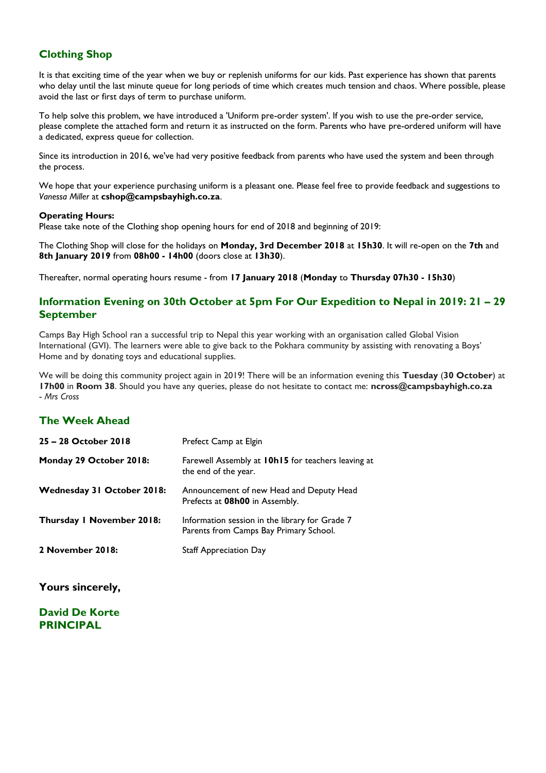#### **Clothing Shop**

It is that exciting time of the year when we buy or replenish uniforms for our kids. Past experience has shown that parents who delay until the last minute queue for long periods of time which creates much tension and chaos. Where possible, please avoid the last or first days of term to purchase uniform.

To help solve this problem, we have introduced a 'Uniform pre-order system'. If you wish to use the pre-order service, please complete the attached form and return it as instructed on the form. Parents who have pre-ordered uniform will have a dedicated, express queue for collection.

Since its introduction in 2016, we've had very positive feedback from parents who have used the system and been through the process.

We hope that your experience purchasing uniform is a pleasant one. Please feel free to provide feedback and suggestions to *Vanessa Miller* at **[cshop@campsbayhigh.co.za](mailto:cshop@campsbayhigh.co.za)**.

#### **Operating Hours:**

Please take note of the Clothing shop opening hours for end of 2018 and beginning of 2019:

The Clothing Shop will close for the holidays on **Monday, 3rd December 2018** at **15h30**. It will re-open on the **7th** and **8th January 2019** from **08h00 - 14h00** (doors close at **13h30**).

Thereafter, normal operating hours resume - from **17 January 2018** (**Monday** to **Thursday 07h30 - 15h30**)

#### **Information Evening on 30th October at 5pm For Our Expedition to Nepal in 2019: 21 – 29 September**

Camps Bay High School ran a successful trip to Nepal this year working with an organisation called Global Vision International (GVI). The learners were able to give back to the Pokhara community by assisting with renovating a Boys' Home and by donating toys and educational supplies.

We will be doing this community project again in 2019! There will be an information evening this **Tuesday** (**30 October**) at **17h00** in **Room 38**. Should you have any queries, please do not hesitate to contact me: **[ncross@campsbayhigh.co.za](mailto:ncross@campsbayhigh.co.za)** - *Mrs Cross*

#### **The Week Ahead**

| 25 – 28 October 2018       | Prefect Camp at Elgin                                                                    |
|----------------------------|------------------------------------------------------------------------------------------|
| Monday 29 October 2018:    | Farewell Assembly at 10h15 for teachers leaving at<br>the end of the year.               |
| Wednesday 31 October 2018: | Announcement of new Head and Deputy Head<br>Prefects at 08h00 in Assembly.               |
| Thursday I November 2018:  | Information session in the library for Grade 7<br>Parents from Camps Bay Primary School. |
| 2 November 2018:           | <b>Staff Appreciation Day</b>                                                            |

**Yours sincerely,**

**David De Korte PRINCIPAL**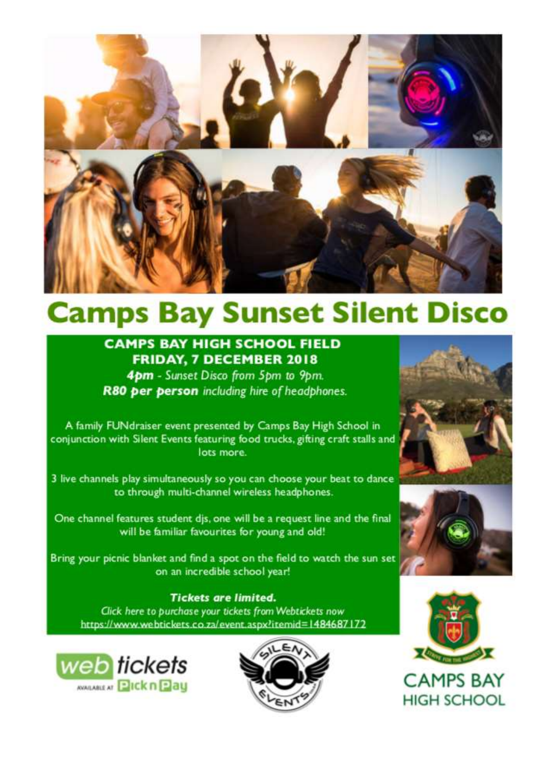

# **Camps Bay Sunset Silent Disco**

## **CAMPS BAY HIGH SCHOOL FIELD FRIDAY, 7 DECEMBER 2018**

4pm - Sunset Disco from 5pm to 9pm. R80 per person including hire of headphones.

A family FUNdraiser event presented by Camps Bay High School in conjunction with Silent Events featuring food trucks, gifting craft stalls and lots more.

3 live channels play simultaneously so you can choose your beat to dance to through multi-channel wireless headphones.

One channel features student dis, one will be a request line and the final will be familiar favourites for young and old!

Bring your picnic blanket and find a spot on the field to watch the sun set on an incredible school year!

#### **Tickets are limited.**

Click here to purchase your tickets from Webtickets now https://www.webtickets.co.za/event.aspx?itemid=1484687172











**CAMPS BAY HIGH SCHOOL**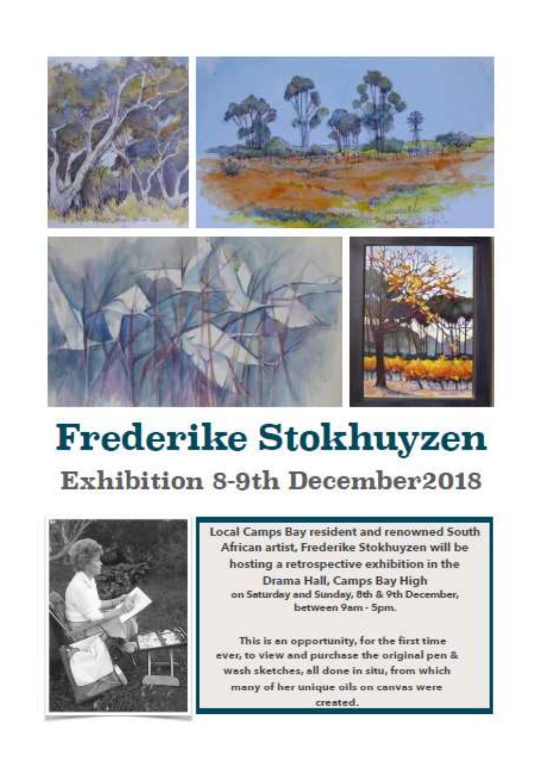





# **Frederike Stokhuyzen Exhibition 8-9th December2018**



Local Camps Bay resident and renowned South African artist, Frederike Stokhuyzen will be hosting a retrospective exhibition in the Drama Hall, Camps Bay High on Saturday and Sunday, 8th & 9th December, between 9am - 5pm.

This is an opportunity, for the first time ever, to view and purchase the original pen & wash sketches, all done in situ, from which many of her unique oils on canvas were created.